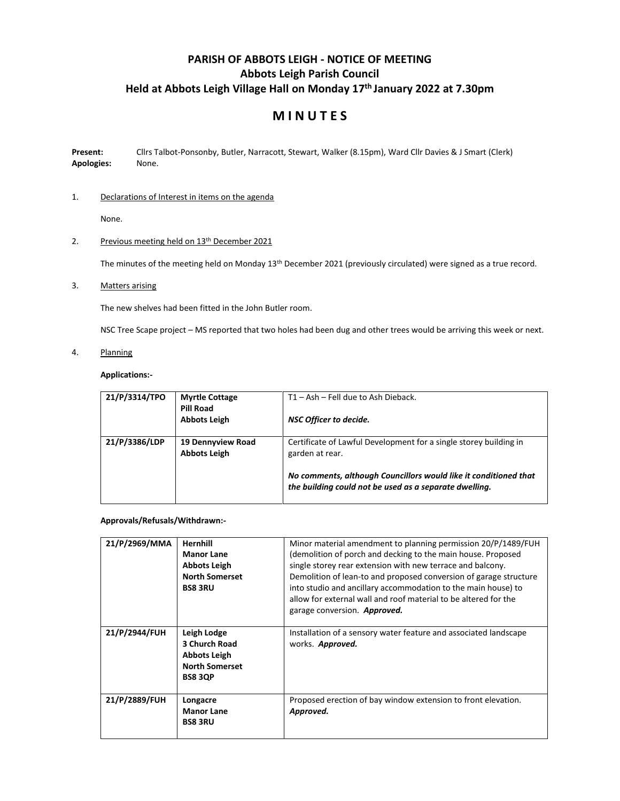# **PARISH OF ABBOTS LEIGH - NOTICE OF MEETING Abbots Leigh Parish Council Held at Abbots Leigh Village Hall on Monday 17 th January 2022 at 7.30pm**

# **M I N U T E S**

**Present:** Cllrs Talbot-Ponsonby, Butler, Narracott, Stewart, Walker (8.15pm), Ward Cllr Davies & J Smart (Clerk) **Apologies:** None.

# 1. Declarations of Interest in items on the agenda

None.

# 2. Previous meeting held on 13<sup>th</sup> December 2021

The minutes of the meeting held on Monday 13th December 2021 (previously circulated) were signed as a true record.

# 3. Matters arising

The new shelves had been fitted in the John Butler room.

NSC Tree Scape project – MS reported that two holes had been dug and other trees would be arriving this week or next.

4. Planning

# **Applications:-**

| 21/P/3314/TPO | <b>Myrtle Cottage</b><br>Pill Road              | T1 - Ash - Fell due to Ash Dieback.                                                                                        |
|---------------|-------------------------------------------------|----------------------------------------------------------------------------------------------------------------------------|
|               | <b>Abbots Leigh</b>                             | NSC Officer to decide.                                                                                                     |
| 21/P/3386/LDP | <b>19 Dennyview Road</b><br><b>Abbots Leigh</b> | Certificate of Lawful Development for a single storey building in<br>garden at rear.                                       |
|               |                                                 | No comments, although Councillors would like it conditioned that<br>the building could not be used as a separate dwelling. |

## **Approvals/Refusals/Withdrawn:-**

| 21/P/2969/MMA | <b>Hernhill</b><br><b>Manor Lane</b><br><b>Abbots Leigh</b><br><b>North Somerset</b><br><b>BS8 3RU</b> | Minor material amendment to planning permission 20/P/1489/FUH<br>(demolition of porch and decking to the main house. Proposed<br>single storey rear extension with new terrace and balcony.<br>Demolition of lean-to and proposed conversion of garage structure<br>into studio and ancillary accommodation to the main house) to<br>allow for external wall and roof material to be altered for the<br>garage conversion. <b>Approved.</b> |
|---------------|--------------------------------------------------------------------------------------------------------|---------------------------------------------------------------------------------------------------------------------------------------------------------------------------------------------------------------------------------------------------------------------------------------------------------------------------------------------------------------------------------------------------------------------------------------------|
| 21/P/2944/FUH | Leigh Lodge<br>3 Church Road<br><b>Abbots Leigh</b><br><b>North Somerset</b><br><b>BS8 3QP</b>         | Installation of a sensory water feature and associated landscape<br>works. Approved.                                                                                                                                                                                                                                                                                                                                                        |
| 21/P/2889/FUH | Longacre<br><b>Manor Lane</b><br><b>BS8 3RU</b>                                                        | Proposed erection of bay window extension to front elevation.<br>Approved.                                                                                                                                                                                                                                                                                                                                                                  |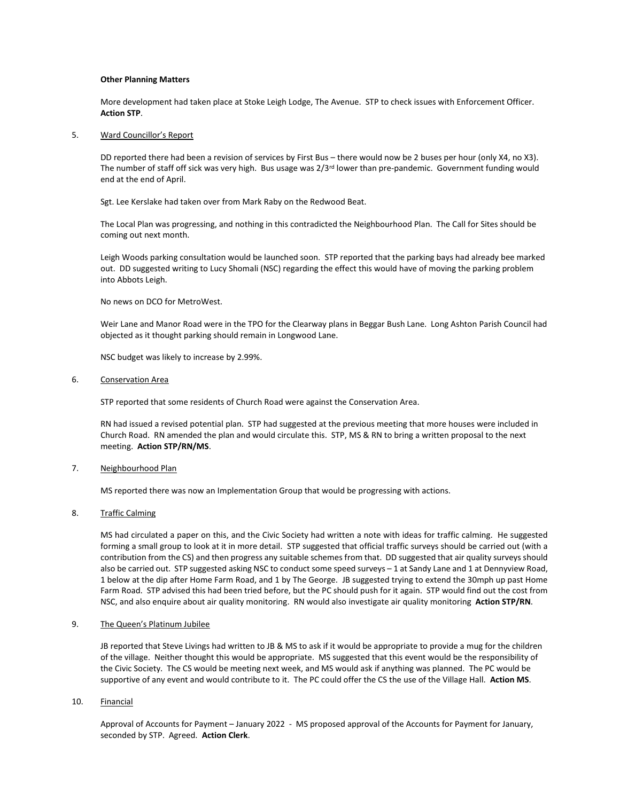#### **Other Planning Matters**

More development had taken place at Stoke Leigh Lodge, The Avenue. STP to check issues with Enforcement Officer. **Action STP**.

#### 5. Ward Councillor's Report

DD reported there had been a revision of services by First Bus – there would now be 2 buses per hour (only X4, no X3). The number of staff off sick was very high. Bus usage was  $2/3<sup>rd</sup>$  lower than pre-pandemic. Government funding would end at the end of April.

Sgt. Lee Kerslake had taken over from Mark Raby on the Redwood Beat.

The Local Plan was progressing, and nothing in this contradicted the Neighbourhood Plan. The Call for Sites should be coming out next month.

Leigh Woods parking consultation would be launched soon. STP reported that the parking bays had already bee marked out. DD suggested writing to Lucy Shomali (NSC) regarding the effect this would have of moving the parking problem into Abbots Leigh.

No news on DCO for MetroWest.

Weir Lane and Manor Road were in the TPO for the Clearway plans in Beggar Bush Lane. Long Ashton Parish Council had objected as it thought parking should remain in Longwood Lane.

NSC budget was likely to increase by 2.99%.

## 6. Conservation Area

STP reported that some residents of Church Road were against the Conservation Area.

RN had issued a revised potential plan. STP had suggested at the previous meeting that more houses were included in Church Road. RN amended the plan and would circulate this. STP, MS & RN to bring a written proposal to the next meeting. **Action STP/RN/MS**.

# 7. Neighbourhood Plan

MS reported there was now an Implementation Group that would be progressing with actions.

## 8. Traffic Calming

MS had circulated a paper on this, and the Civic Society had written a note with ideas for traffic calming. He suggested forming a small group to look at it in more detail. STP suggested that official traffic surveys should be carried out (with a contribution from the CS) and then progress any suitable schemes from that. DD suggested that air quality surveys should also be carried out. STP suggested asking NSC to conduct some speed surveys – 1 at Sandy Lane and 1 at Dennyview Road, 1 below at the dip after Home Farm Road, and 1 by The George. JB suggested trying to extend the 30mph up past Home Farm Road. STP advised this had been tried before, but the PC should push for it again. STP would find out the cost from NSC, and also enquire about air quality monitoring. RN would also investigate air quality monitoring **Action STP/RN**.

## 9. The Queen's Platinum Jubilee

JB reported that Steve Livings had written to JB & MS to ask if it would be appropriate to provide a mug for the children of the village. Neither thought this would be appropriate. MS suggested that this event would be the responsibility of the Civic Society. The CS would be meeting next week, and MS would ask if anything was planned. The PC would be supportive of any event and would contribute to it. The PC could offer the CS the use of the Village Hall. **Action MS**.

#### 10. Financial

Approval of Accounts for Payment – January 2022 - MS proposed approval of the Accounts for Payment for January, seconded by STP. Agreed. **Action Clerk**.